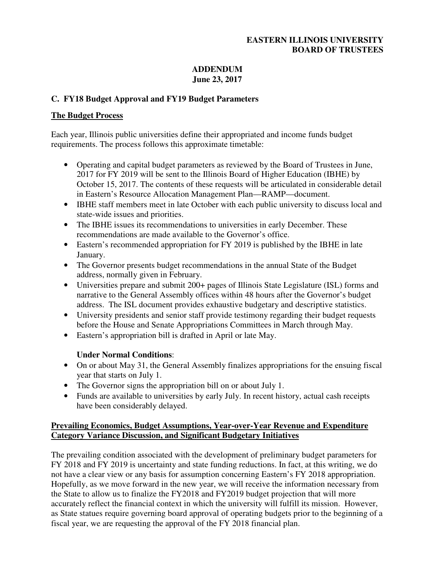## **EASTERN ILLINOIS UNIVERSITY BOARD OF TRUSTEES**

#### **ADDENDUM June 23, 2017**

## **C. FY18 Budget Approval and FY19 Budget Parameters**

## **The Budget Process**

Each year, Illinois public universities define their appropriated and income funds budget requirements. The process follows this approximate timetable:

- Operating and capital budget parameters as reviewed by the Board of Trustees in June, 2017 for FY 2019 will be sent to the Illinois Board of Higher Education (IBHE) by October 15, 2017. The contents of these requests will be articulated in considerable detail in Eastern's Resource Allocation Management Plan—RAMP—document.
- IBHE staff members meet in late October with each public university to discuss local and state-wide issues and priorities.
- The IBHE issues its recommendations to universities in early December. These recommendations are made available to the Governor's office.
- Eastern's recommended appropriation for FY 2019 is published by the IBHE in late January.
- The Governor presents budget recommendations in the annual State of the Budget address, normally given in February.
- Universities prepare and submit 200+ pages of Illinois State Legislature (ISL) forms and narrative to the General Assembly offices within 48 hours after the Governor's budget address. The ISL document provides exhaustive budgetary and descriptive statistics.
- University presidents and senior staff provide testimony regarding their budget requests before the House and Senate Appropriations Committees in March through May.
- Eastern's appropriation bill is drafted in April or late May.

# **Under Normal Conditions**:

- On or about May 31, the General Assembly finalizes appropriations for the ensuing fiscal year that starts on July 1.
- The Governor signs the appropriation bill on or about July 1.
- Funds are available to universities by early July. In recent history, actual cash receipts have been considerably delayed.

## **Prevailing Economics, Budget Assumptions, Year-over-Year Revenue and Expenditure Category Variance Discussion, and Significant Budgetary Initiatives**

The prevailing condition associated with the development of preliminary budget parameters for FY 2018 and FY 2019 is uncertainty and state funding reductions. In fact, at this writing, we do not have a clear view or any basis for assumption concerning Eastern's FY 2018 appropriation. Hopefully, as we move forward in the new year, we will receive the information necessary from the State to allow us to finalize the FY2018 and FY2019 budget projection that will more accurately reflect the financial context in which the university will fulfill its mission. However, as State statues require governing board approval of operating budgets prior to the beginning of a fiscal year, we are requesting the approval of the FY 2018 financial plan.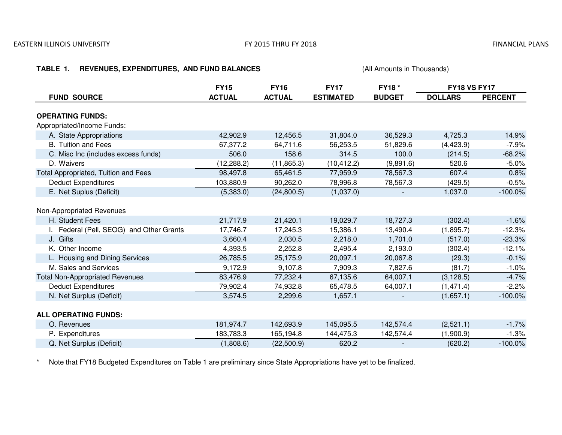#### FY 2015 THRU FY 2018

#### **TABLE 1. REVENUES, EXPENDITURES, AND FUND BALANCES** (All Amounts in Thousands)  **FY15 FY16 FY17 FY18 \* FUND SOURCE ACTUAL ACTUAL ESTIMATED BUDGET DOLLARS PERCENT OPERATING FUNDS:**Appropriated/Income Funds:A. State Appropriations 42,902.9 12,456.5 31,804.0 36,529.3 4,725.3 14.9% $-7.9%$ B. Tuition and Fees 67,377.2 64,711.6 56,253.5 51,829.6 (4,423.9) -7.9% $-68.2%$ C. Misc Inc (includes excess funds) 506.00 158.6 314.5 100.0 (214.5) -68.2%  $6 -5.0\%$ D. Waivers (12,288.2) (11,865.3) (10,412.2) (9,891.6) 520.6 $0.8%$ Total Appropriated, Tuition and Fees 98,497.8 65,461.5 77,959.9 78,567.3 607.4 0.8% $-0.5%$ Deduct Expenditures $\frac{103,880.9}{(5,383.0)}$  90,262.0 78,996.8 78,567.3 (429.5) -0.5% $0 \qquad \qquad$  -100.0% E. Net Suplus (Deficit) (5,383.0) (24,800.5) (1,037.0) - 1,037.0Non-Appropriated RevenuesH. Student Fees21,717.9<br>17.746.7 21,420.1 19,029.7 18,727.3 (302.4) -1.6% $-12.3%$ I. Federal (Pell, SEOG) and Other Grants 17,245.3 15,386.1 13,490.4 (1,895.7) -12.3% $-23.3%$ J. Gifts $3,660.4$  2,030.5 2,218.0 1,701.0 (517.0) -23.3% $-12.1%$ K. Other Income 4,393.5 2,252.8 2,495.4 2,193.0 (302.4) -12.1% $-0.1%$ L. Housing and Dining Services 26,785.5 25,175.9 20,097.1 20,067.8 (29.3) -0.1% $-1.0%$ M. Sales and Services 9,172.99,107.8 7,909.3 7,827.6 (81.7) -1.0%  $-4.7%$ Total Non-Appropriated Revenues 83,476.9 77,232.4 67,135.6 64,007.1 (3,128.5) -4.7% $-2.2\%$ Deduct Expenditures 79,902.4 74,932.8 65,478.5 64,007.1 (1,471.4) -2.2% $-100.0\%$ N. Net Surplus (Deficit) 3,574.5 2,299.6 1,657.1 - (1,657.1) -100.0%**ALL OPERATING FUNDS:**O. Revenues 181,974.7 142,693.9 145,095.5 142,574.4 (2,521.1) -1.7% $-1.3%$ P. Expenditures183,783.3<br>(1,808.6) 3 165,194.8 144,475.3 142,574.4 (1,900.9) -1.3%  $-100.0\%$ Q. Net Surplus (Deficit) $(22,500.9)$  620.2 - (620.2) -100.0%**FY18 VS FY17**

\*Note that FY18 Budgeted Expenditures on Table 1 are preliminary since State Appropriations have yet to be finalized.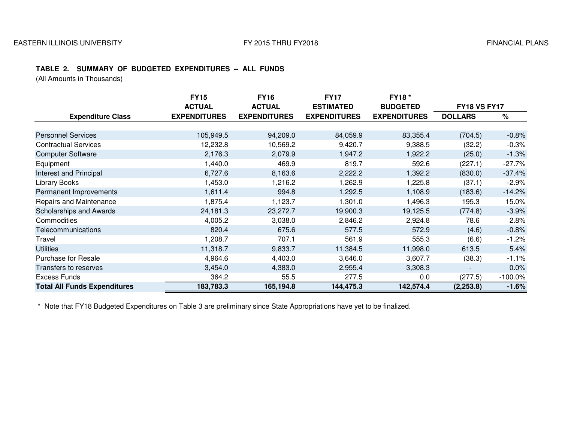#### **TABLE 2. SUMMARY OF BUDGETED EXPENDITURES -- ALL FUNDS**

(All Amounts in Thousands)

|                                     | <b>FY15</b>         | <b>FY16</b>         | <b>FY17</b>         | <b>FY18*</b>        |                     |            |
|-------------------------------------|---------------------|---------------------|---------------------|---------------------|---------------------|------------|
|                                     | <b>ACTUAL</b>       | <b>ACTUAL</b>       | <b>ESTIMATED</b>    | <b>BUDGETED</b>     | <b>FY18 VS FY17</b> |            |
| <b>Expenditure Class</b>            | <b>EXPENDITURES</b> | <b>EXPENDITURES</b> | <b>EXPENDITURES</b> | <b>EXPENDITURES</b> | <b>DOLLARS</b>      | %          |
|                                     |                     |                     |                     |                     |                     |            |
| <b>Personnel Services</b>           | 105,949.5           | 94,209.0            | 84,059.9            | 83,355.4            | (704.5)             | $-0.8%$    |
| <b>Contractual Services</b>         | 12,232.8            | 10,569.2            | 9,420.7             | 9,388.5             | (32.2)              | $-0.3%$    |
| <b>Computer Software</b>            | 2,176.3             | 2,079.9             | 1,947.2             | 1,922.2             | (25.0)              | $-1.3%$    |
| Equipment                           | 1,440.0             | 469.9               | 819.7               | 592.6               | (227.1)             | $-27.7%$   |
| Interest and Principal              | 6,727.6             | 8,163.6             | 2,222.2             | 1,392.2             | (830.0)             | $-37.4%$   |
| <b>Library Books</b>                | 1,453.0             | 1,216.2             | 1,262.9             | 1,225.8             | (37.1)              | $-2.9%$    |
| Permanent Improvements              | 1,611.4             | 994.8               | 1,292.5             | 1,108.9             | (183.6)             | $-14.2%$   |
| Repairs and Maintenance             | 1,875.4             | 1,123.7             | 1,301.0             | 1,496.3             | 195.3               | 15.0%      |
| Scholarships and Awards             | 24,181.3            | 23,272.7            | 19,900.3            | 19,125.5            | (774.8)             | $-3.9%$    |
| Commodities                         | 4,005.2             | 3,038.0             | 2,846.2             | 2,924.8             | 78.6                | 2.8%       |
| Telecommunications                  | 820.4               | 675.6               | 577.5               | 572.9               | (4.6)               | $-0.8%$    |
| Travel                              | 1,208.7             | 707.1               | 561.9               | 555.3               | (6.6)               | $-1.2%$    |
| <b>Utilities</b>                    | 11,318.7            | 9,833.7             | 11,384.5            | 11,998.0            | 613.5               | 5.4%       |
| <b>Purchase for Resale</b>          | 4,964.6             | 4,403.0             | 3,646.0             | 3,607.7             | (38.3)              | $-1.1\%$   |
| Transfers to reserves               | 3,454.0             | 4,383.0             | 2,955.4             | 3,308.3             |                     | 0.0%       |
| <b>Excess Funds</b>                 | 364.2               | 55.5                | 277.5               | 0.0                 | (277.5)             | $-100.0\%$ |
| <b>Total All Funds Expenditures</b> | 183,783.3           | 165,194.8           | 144,475.3           | 142,574.4           | (2, 253.8)          | $-1.6%$    |

\* Note that FY18 Budgeted Expenditures on Table 3 are preliminary since State Appropriations have yet to be finalized.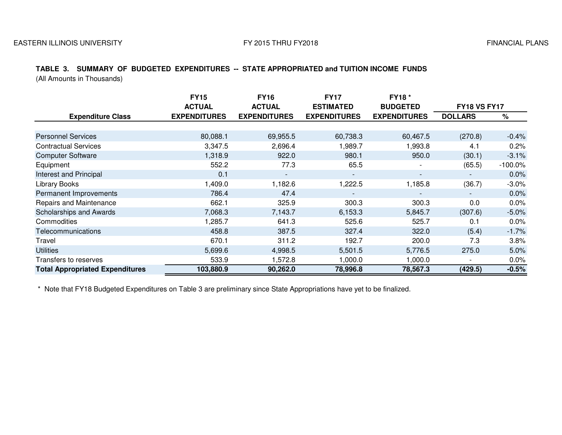#### FY 2015 THRU FY2018 FINANCIAL PLANS

## **TABLE 3. SUMMARY OF BUDGETED EXPENDITURES -- STATE APPROPRIATED and TUITION INCOME FUNDS**

(All Amounts in Thousands)

|                                        | <b>FY15</b>         | <b>FY16</b>              | <b>FY17</b>         | FY18 *                   |                          |            |
|----------------------------------------|---------------------|--------------------------|---------------------|--------------------------|--------------------------|------------|
|                                        | <b>ACTUAL</b>       | <b>ACTUAL</b>            | <b>ESTIMATED</b>    | <b>BUDGETED</b>          | <b>FY18 VS FY17</b>      |            |
| <b>Expenditure Class</b>               | <b>EXPENDITURES</b> | <b>EXPENDITURES</b>      | <b>EXPENDITURES</b> | <b>EXPENDITURES</b>      | <b>DOLLARS</b>           | $\%$       |
|                                        |                     |                          |                     |                          |                          |            |
| <b>Personnel Services</b>              | 80,088.1            | 69,955.5                 | 60,738.3            | 60,467.5                 | (270.8)                  | $-0.4%$    |
| <b>Contractual Services</b>            | 3,347.5             | 2,696.4                  | 1,989.7             | 1,993.8                  | 4.1                      | 0.2%       |
| <b>Computer Software</b>               | 1,318.9             | 922.0                    | 980.1               | 950.0                    | (30.1)                   | $-3.1%$    |
| Equipment                              | 552.2               | 77.3                     | 65.5                |                          | (65.5)                   | $-100.0\%$ |
| Interest and Principal                 | 0.1                 | $\overline{\phantom{a}}$ | $\blacksquare$      | $\overline{\phantom{a}}$ |                          | $0.0\%$    |
| <b>Library Books</b>                   | 1,409.0             | 1,182.6                  | 1,222.5             | 1,185.8                  | (36.7)                   | $-3.0%$    |
| Permanent Improvements                 | 786.4               | 47.4                     |                     | $\overline{\phantom{0}}$ | $\overline{\phantom{a}}$ | 0.0%       |
| Repairs and Maintenance                | 662.1               | 325.9                    | 300.3               | 300.3                    | 0.0                      | 0.0%       |
| Scholarships and Awards                | 7,068.3             | 7,143.7                  | 6,153.3             | 5,845.7                  | (307.6)                  | $-5.0%$    |
| Commodities                            | 1,285.7             | 641.3                    | 525.6               | 525.7                    | 0.1                      | 0.0%       |
| Telecommunications                     | 458.8               | 387.5                    | 327.4               | 322.0                    | (5.4)                    | $-1.7%$    |
| Travel                                 | 670.1               | 311.2                    | 192.7               | 200.0                    | 7.3                      | 3.8%       |
| <b>Utilities</b>                       | 5,699.6             | 4,998.5                  | 5,501.5             | 5,776.5                  | 275.0                    | 5.0%       |
| Transfers to reserves                  | 533.9               | 1,572.8                  | 1,000.0             | 1,000.0                  |                          | $0.0\%$    |
| <b>Total Appropriated Expenditures</b> | 103,880.9           | 90,262.0                 | 78,996.8            | 78,567.3                 | (429.5)                  | $-0.5%$    |

\* Note that FY18 Budgeted Expenditures on Table 3 are preliminary since State Appropriations have yet to be finalized.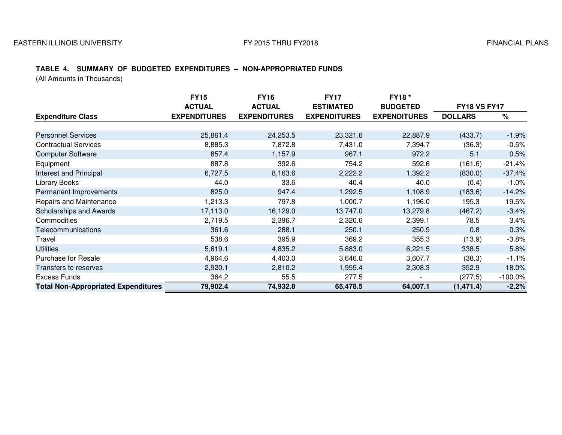#### FY 2015 THRU FY2018 FINANCIAL PLANS

#### **TABLE 4. SUMMARY OF BUDGETED EXPENDITURES -- NON-APPROPRIATED FUNDS**

(All Amounts in Thousands)

|                                            | <b>FY15</b>         | <b>FY16</b>         | <b>FY17</b>         | <b>FY18*</b>        |                     |            |
|--------------------------------------------|---------------------|---------------------|---------------------|---------------------|---------------------|------------|
|                                            | <b>ACTUAL</b>       | <b>ACTUAL</b>       | <b>ESTIMATED</b>    | <b>BUDGETED</b>     | <b>FY18 VS FY17</b> |            |
| <b>Expenditure Class</b>                   | <b>EXPENDITURES</b> | <b>EXPENDITURES</b> | <b>EXPENDITURES</b> | <b>EXPENDITURES</b> | <b>DOLLARS</b>      | %          |
|                                            |                     |                     |                     |                     |                     |            |
| <b>Personnel Services</b>                  | 25,861.4            | 24,253.5            | 23,321.6            | 22,887.9            | (433.7)             | $-1.9%$    |
| <b>Contractual Services</b>                | 8,885.3             | 7,872.8             | 7,431.0             | 7,394.7             | (36.3)              | $-0.5%$    |
| <b>Computer Software</b>                   | 857.4               | 1,157.9             | 967.1               | 972.2               | 5.1                 | 0.5%       |
| Equipment                                  | 887.8               | 392.6               | 754.2               | 592.6               | (161.6)             | $-21.4%$   |
| Interest and Principal                     | 6,727.5             | 8,163.6             | 2,222.2             | 1,392.2             | (830.0)             | $-37.4%$   |
| <b>Library Books</b>                       | 44.0                | 33.6                | 40.4                | 40.0                | (0.4)               | $-1.0%$    |
| Permanent Improvements                     | 825.0               | 947.4               | 1,292.5             | 1,108.9             | (183.6)             | $-14.2%$   |
| Repairs and Maintenance                    | 1,213.3             | 797.8               | 1,000.7             | 1,196.0             | 195.3               | 19.5%      |
| Scholarships and Awards                    | 17,113.0            | 16,129.0            | 13,747.0            | 13,279.8            | (467.2)             | $-3.4%$    |
| Commodities                                | 2,719.5             | 2,396.7             | 2,320.6             | 2,399.1             | 78.5                | 3.4%       |
| Telecommunications                         | 361.6               | 288.1               | 250.1               | 250.9               | 0.8                 | 0.3%       |
| Travel                                     | 538.6               | 395.9               | 369.2               | 355.3               | (13.9)              | $-3.8%$    |
| <b>Utilities</b>                           | 5,619.1             | 4,835.2             | 5,883.0             | 6,221.5             | 338.5               | 5.8%       |
| <b>Purchase for Resale</b>                 | 4,964.6             | 4,403.0             | 3,646.0             | 3,607.7             | (38.3)              | $-1.1%$    |
| Transfers to reserves                      | 2,920.1             | 2,810.2             | 1,955.4             | 2,308.3             | 352.9               | 18.0%      |
| <b>Excess Funds</b>                        | 364.2               | 55.5                | 277.5               |                     | (277.5)             | $-100.0\%$ |
| <b>Total Non-Appropriated Expenditures</b> | 79,902.4            | 74,932.8            | 65,478.5            | 64,007.1            | (1, 471.4)          | $-2.2%$    |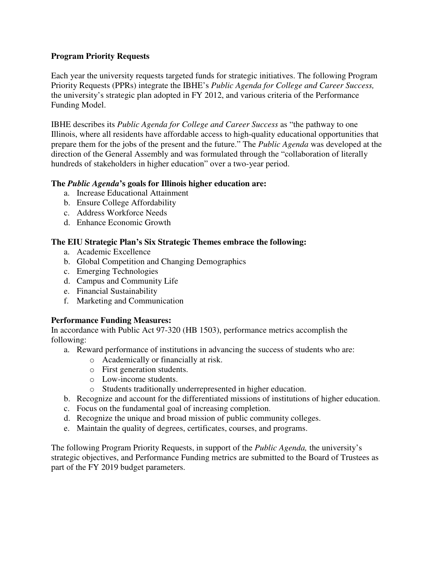#### **Program Priority Requests**

Each year the university requests targeted funds for strategic initiatives. The following Program Priority Requests (PPRs) integrate the IBHE's *Public Agenda for College and Career Success,*  the university's strategic plan adopted in FY 2012, and various criteria of the Performance Funding Model.

IBHE describes its *Public Agenda for College and Career Success* as "the pathway to one Illinois, where all residents have affordable access to high-quality educational opportunities that prepare them for the jobs of the present and the future." The *Public Agenda* was developed at the direction of the General Assembly and was formulated through the "collaboration of literally hundreds of stakeholders in higher education" over a two-year period.

#### **The** *Public Agenda***'s goals for Illinois higher education are:**

- a. Increase Educational Attainment
- b. Ensure College Affordability
- c. Address Workforce Needs
- d. Enhance Economic Growth

#### **The EIU Strategic Plan's Six Strategic Themes embrace the following:**

- a. Academic Excellence
- b. Global Competition and Changing Demographics
- c. Emerging Technologies
- d. Campus and Community Life
- e. Financial Sustainability
- f. Marketing and Communication

#### **Performance Funding Measures:**

In accordance with Public Act 97-320 (HB 1503), performance metrics accomplish the following:

- a. Reward performance of institutions in advancing the success of students who are:
	- o Academically or financially at risk.
	- o First generation students.
	- o Low-income students.
	- o Students traditionally underrepresented in higher education.
- b. Recognize and account for the differentiated missions of institutions of higher education.
- c. Focus on the fundamental goal of increasing completion.
- d. Recognize the unique and broad mission of public community colleges.
- e. Maintain the quality of degrees, certificates, courses, and programs.

The following Program Priority Requests, in support of the *Public Agenda,* the university's strategic objectives, and Performance Funding metrics are submitted to the Board of Trustees as part of the FY 2019 budget parameters.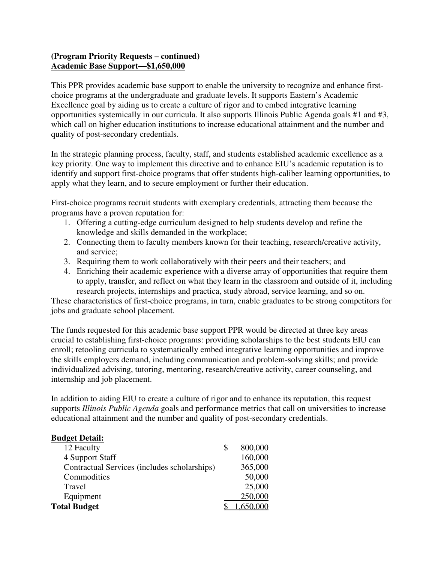## **(Program Priority Requests – continued) Academic Base Support—\$1,650,000**

This PPR provides academic base support to enable the university to recognize and enhance firstchoice programs at the undergraduate and graduate levels. It supports Eastern's Academic Excellence goal by aiding us to create a culture of rigor and to embed integrative learning opportunities systemically in our curricula. It also supports Illinois Public Agenda goals #1 and #3, which call on higher education institutions to increase educational attainment and the number and quality of post-secondary credentials.

In the strategic planning process, faculty, staff, and students established academic excellence as a key priority. One way to implement this directive and to enhance EIU's academic reputation is to identify and support first-choice programs that offer students high-caliber learning opportunities, to apply what they learn, and to secure employment or further their education.

First-choice programs recruit students with exemplary credentials, attracting them because the programs have a proven reputation for:

- 1. Offering a cutting-edge curriculum designed to help students develop and refine the knowledge and skills demanded in the workplace;
- 2. Connecting them to faculty members known for their teaching, research/creative activity, and service;
- 3. Requiring them to work collaboratively with their peers and their teachers; and
- 4. Enriching their academic experience with a diverse array of opportunities that require them to apply, transfer, and reflect on what they learn in the classroom and outside of it, including research projects, internships and practica, study abroad, service learning, and so on.

These characteristics of first-choice programs, in turn, enable graduates to be strong competitors for jobs and graduate school placement.

The funds requested for this academic base support PPR would be directed at three key areas crucial to establishing first-choice programs: providing scholarships to the best students EIU can enroll; retooling curricula to systematically embed integrative learning opportunities and improve the skills employers demand, including communication and problem-solving skills; and provide individualized advising, tutoring, mentoring, research/creative activity, career counseling, and internship and job placement.

In addition to aiding EIU to create a culture of rigor and to enhance its reputation, this request supports *Illinois Public Agenda* goals and performance metrics that call on universities to increase educational attainment and the number and quality of post-secondary credentials.

#### **Budget Detail:**

| 12 Faculty                                   | 800,000 |
|----------------------------------------------|---------|
| 4 Support Staff                              | 160,000 |
| Contractual Services (includes scholarships) | 365,000 |
| Commodities                                  | 50,000  |
| Travel                                       | 25,000  |
| Equipment                                    | 250,000 |
| <b>Total Budget</b>                          |         |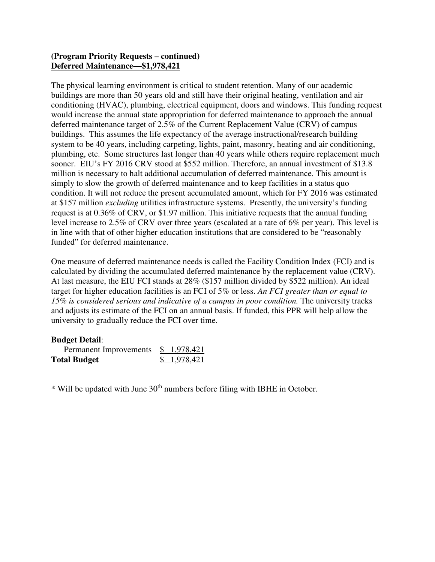## **(Program Priority Requests – continued) Deferred Maintenance—\$1,978,421**

The physical learning environment is critical to student retention. Many of our academic buildings are more than 50 years old and still have their original heating, ventilation and air conditioning (HVAC), plumbing, electrical equipment, doors and windows. This funding request would increase the annual state appropriation for deferred maintenance to approach the annual deferred maintenance target of 2.5% of the Current Replacement Value (CRV) of campus buildings. This assumes the life expectancy of the average instructional/research building system to be 40 years, including carpeting, lights, paint, masonry, heating and air conditioning, plumbing, etc. Some structures last longer than 40 years while others require replacement much sooner. EIU's FY 2016 CRV stood at \$552 million. Therefore, an annual investment of \$13.8 million is necessary to halt additional accumulation of deferred maintenance. This amount is simply to slow the growth of deferred maintenance and to keep facilities in a status quo condition. It will not reduce the present accumulated amount, which for FY 2016 was estimated at \$157 million *excluding* utilities infrastructure systems. Presently, the university's funding request is at 0.36% of CRV, or \$1.97 million. This initiative requests that the annual funding level increase to 2.5% of CRV over three years (escalated at a rate of 6% per year). This level is in line with that of other higher education institutions that are considered to be "reasonably funded" for deferred maintenance.

One measure of deferred maintenance needs is called the Facility Condition Index (FCI) and is calculated by dividing the accumulated deferred maintenance by the replacement value (CRV). At last measure, the EIU FCI stands at 28% (\$157 million divided by \$522 million). An ideal target for higher education facilities is an FCI of 5% or less. *An FCI greater than or equal to 15% is considered serious and indicative of a campus in poor condition.* The university tracks and adjusts its estimate of the FCI on an annual basis. If funded, this PPR will help allow the university to gradually reduce the FCI over time.

## **Budget Detail**:

| Permanent Improvements | \$1,978,421  |
|------------------------|--------------|
| <b>Total Budget</b>    | \$ 1,978,421 |

\* Will be updated with June 30th numbers before filing with IBHE in October.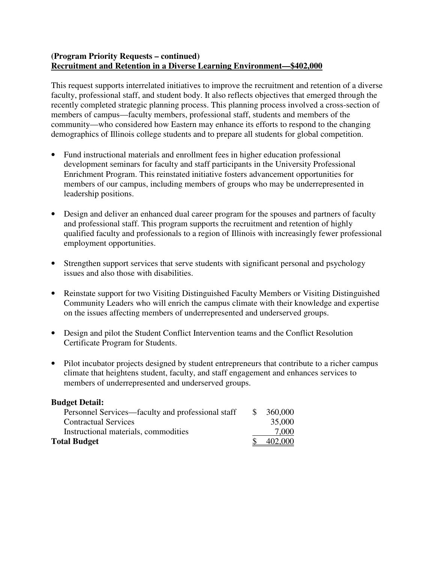#### **(Program Priority Requests – continued) Recruitment and Retention in a Diverse Learning Environment—\$402,000**

This request supports interrelated initiatives to improve the recruitment and retention of a diverse faculty, professional staff, and student body. It also reflects objectives that emerged through the recently completed strategic planning process. This planning process involved a cross-section of members of campus—faculty members, professional staff, students and members of the community—who considered how Eastern may enhance its efforts to respond to the changing demographics of Illinois college students and to prepare all students for global competition.

- Fund instructional materials and enrollment fees in higher education professional development seminars for faculty and staff participants in the University Professional Enrichment Program. This reinstated initiative fosters advancement opportunities for members of our campus, including members of groups who may be underrepresented in leadership positions.
- Design and deliver an enhanced dual career program for the spouses and partners of faculty and professional staff. This program supports the recruitment and retention of highly qualified faculty and professionals to a region of Illinois with increasingly fewer professional employment opportunities.
- Strengthen support services that serve students with significant personal and psychology issues and also those with disabilities.
- Reinstate support for two Visiting Distinguished Faculty Members or Visiting Distinguished Community Leaders who will enrich the campus climate with their knowledge and expertise on the issues affecting members of underrepresented and underserved groups.
- Design and pilot the Student Conflict Intervention teams and the Conflict Resolution Certificate Program for Students.
- Pilot incubator projects designed by student entrepreneurs that contribute to a richer campus climate that heightens student, faculty, and staff engagement and enhances services to members of underrepresented and underserved groups.

| <b>Budget Detail:</b>                             |    |         |
|---------------------------------------------------|----|---------|
| Personnel Services—faculty and professional staff | -S | 360,000 |
| <b>Contractual Services</b>                       |    | 35,000  |
| Instructional materials, commodities              |    | 7.000   |
| <b>Total Budget</b>                               |    | 402,000 |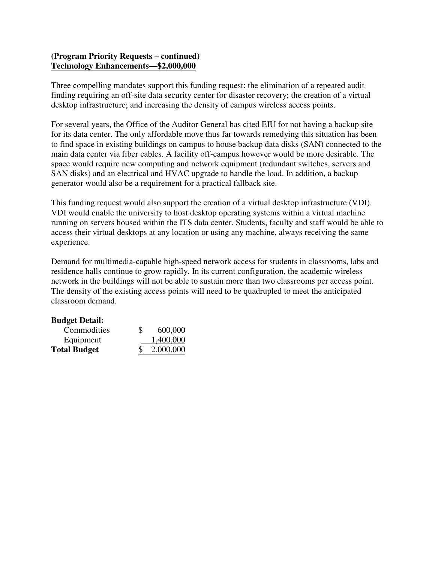#### **(Program Priority Requests – continued) Technology Enhancements—\$2,000,000**

Three compelling mandates support this funding request: the elimination of a repeated audit finding requiring an off-site data security center for disaster recovery; the creation of a virtual desktop infrastructure; and increasing the density of campus wireless access points.

For several years, the Office of the Auditor General has cited EIU for not having a backup site for its data center. The only affordable move thus far towards remedying this situation has been to find space in existing buildings on campus to house backup data disks (SAN) connected to the main data center via fiber cables. A facility off-campus however would be more desirable. The space would require new computing and network equipment (redundant switches, servers and SAN disks) and an electrical and HVAC upgrade to handle the load. In addition, a backup generator would also be a requirement for a practical fallback site.

This funding request would also support the creation of a virtual desktop infrastructure (VDI). VDI would enable the university to host desktop operating systems within a virtual machine running on servers housed within the ITS data center. Students, faculty and staff would be able to access their virtual desktops at any location or using any machine, always receiving the same experience.

Demand for multimedia-capable high-speed network access for students in classrooms, labs and residence halls continue to grow rapidly. In its current configuration, the academic wireless network in the buildings will not be able to sustain more than two classrooms per access point. The density of the existing access points will need to be quadrupled to meet the anticipated classroom demand.

| <b>Budget Detail:</b> |    |           |
|-----------------------|----|-----------|
| Commodities           | S. | 600,000   |
| Equipment             |    | 1,400,000 |
| <b>Total Budget</b>   |    | 2,000,000 |